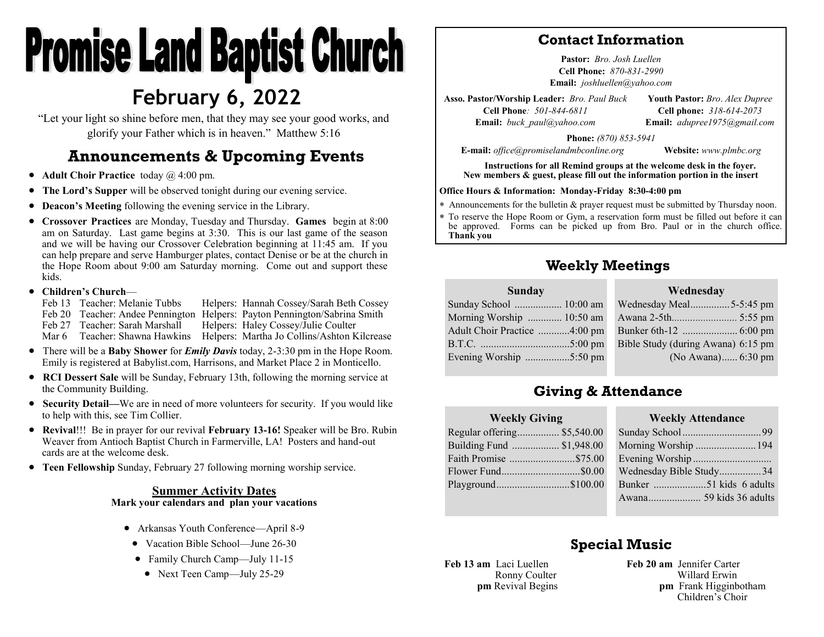# **Promise Land Baptist Church February 6, 2022**

"Let your light so shine before men, that they may see your good works, and glorify your Father which is in heaven." Matthew 5:16

## **Announcements & Upcoming Events**

- **Adult Choir Practice** today @ 4:00 pm.
- **The Lord's Supper** will be observed tonight during our evening service.
- **Deacon's Meeting** following the evening service in the Library.
- **Crossover Practices** are Monday, Tuesday and Thursday. **Games** begin at 8:00 am on Saturday. Last game begins at 3:30. This is our last game of the season and we will be having our Crossover Celebration beginning at 11:45 am. If you can help prepare and serve Hamburger plates, contact Denise or be at the church in the Hope Room about 9:00 am Saturday morning. Come out and support these kids.

#### • **Children's Church**—

Feb 13 Teacher: Melanie Tubbs Helpers: Hannah Cossey/Sarah Beth Cossey Feb 20 Teacher: Andee Pennington Helpers: Payton Pennington/Sabrina Smith Feb 27 Teacher: Sarah Marshall Helpers: Haley Cossey/Julie Coulter Mar 6 Teacher: Shawna Hawkins Helpers: Martha Jo Collins/Ashton Kilcrease

- There will be a **Baby Shower** for *Emily Davis* today, 2-3:30 pm in the Hope Room. Emily is registered at Babylist.com, Harrisons, and Market Place 2 in Monticello.
- **RCI Dessert Sale** will be Sunday, February 13th, following the morning service at the Community Building.
- **Security Detail—**We are in need of more volunteers for security. If you would like to help with this, see Tim Collier.
- **Revival**!!! Be in prayer for our revival **February 13-16!** Speaker will be Bro. Rubin Weaver from Antioch Baptist Church in Farmerville, LA! Posters and hand-out cards are at the welcome desk.
- **Teen Fellowship** Sunday, February 27 following morning worship service.

#### **Summer Activity Dates Mark your calendars and plan your vacations**

- Arkansas Youth Conference—April 8-9
- Vacation Bible School—June 26-30
- Family Church Camp—July 11-15
	- Next Teen Camp—July 25-29

#### **Contact Information**

**Pastor:** *Bro. Josh Luellen* **Cell Phone:** *870-831-2990* **Email:** *joshluellen@yahoo.com* 

**Asso. Pastor/Worship Leader:** *Bro. Paul Buck* **Cell Phone***: 501-844-6811* **Email:** *buck\_paul@yahoo.com* **Youth Pastor:** *Bro*. *Alex Dupree* **Cell phone:** *318-614-2073* **Email:** *adupree1975@gmail.com*

**Phone:** *(870) 853-5941*

**E-mail:** *office@promiselandmbconline.org* **Website:** *www.plmbc.org*

**Instructions for all Remind groups at the welcome desk in the foyer. New members & guest, please fill out the information portion in the insert**

#### **Office Hours & Information: Monday-Friday 8:30-4:00 pm**

Announcements for the bulletin & prayer request must be submitted by Thursday noon.

 To reserve the Hope Room or Gym, a reservation form must be filled out before it can be approved. Forms can be picked up from Bro. Paul or in the church office. **Thank you**

### **Weekly Meetings**

#### **Wednesday**

| Sunday School  10:00 am      |
|------------------------------|
| Morning Worship  10:50 am    |
| Adult Choir Practice 4:00 pm |
|                              |
| Evening Worship 5:50 pm      |
|                              |

**Sunday**

| Wednesday Meal5-5:45 pm            |  |
|------------------------------------|--|
|                                    |  |
|                                    |  |
| Bible Study (during Awana) 6:15 pm |  |
| (No Awana) 6:30 pm                 |  |
|                                    |  |

## **Giving & Attendance**

| <b>Weekly Giving</b>        |  |  |  |  |  |
|-----------------------------|--|--|--|--|--|
| Regular offering \$5,540.00 |  |  |  |  |  |
| Building Fund  \$1,948.00   |  |  |  |  |  |
| Faith Promise \$75.00       |  |  |  |  |  |
| Flower Fund\$0.00           |  |  |  |  |  |
| Playground\$100.00          |  |  |  |  |  |
|                             |  |  |  |  |  |

#### $\mathbf{W}$  **Attendance**

## **Special Music**

**Feb 13 am** Laci Luellen Ronny Coulter **pm** Revival Begins **Feb 20 am** Jennifer Carter Willard Erwin **pm** Frank Higginbotham Children's Choir